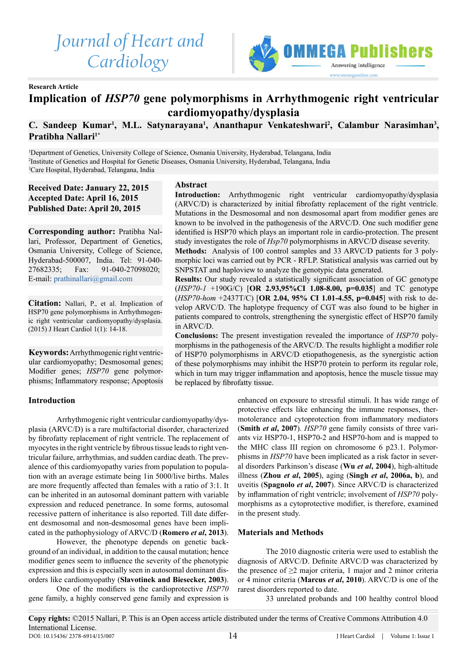# *Journal of Heart and Cardiology*



**Research Article**

# **Implication of** *HSP70* **gene polymorphisms in Arrhythmogenic right ventricular cardiomyopathy/dysplasia**

# C. Sandeep Kumar<sup>1</sup>, M.L. Satynarayana<sup>1</sup>, Ananthapur Venkateshwari<sup>2</sup>, Calambur Narasimhan<sup>3</sup>, **Pratibha Nallari1\***

1 Department of Genetics, University College of Science, Osmania University, Hyderabad, Telangana, India 2 Institute of Genetics and Hospital for Genetic Diseases, Osmania University, Hyderabad, Telangana, India 3 Care Hospital, Hyderabad, Telangana, India

**Abstract**

**Received Date: January 22, 2015 Accepted Date: April 16, 2015 Published Date: April 20, 2015**

**Corresponding author:** Pratibha Nallari, Professor, Department of Genetics, Osmania University, College of Science, Hyderabad-500007, India. Tel: 91-040- 27682335; Fax: 91-040-27098020; E-mail: [prathinallari@gmail.com](mailto:prathinallari%40gmail.com?subject=)

**Citation:** Nallari, P., et al. Implication of HSP70 gene polymorphisms in Arrhythmogenic right ventricular cardiomyopathy/dysplasia. (2015) J Heart Cardiol 1(1): 14-18.

**Keywords:** Arrhythmogenic right ventricular cardiomyopathy; Desmosomal genes; Modifier genes; *HSP70* gene polymorphisms; Inflammatory response; Apoptosis

# **Introduction**

Arrhythmogenic right ventricular cardiomyopathy/dysplasia (ARVC/D) is a rare multifactorial disorder, characterized by fibrofatty replacement of right ventricle. The replacement of myocytes in the right ventricle by fibrous tissue leads to right ventricular failure, arrhythmias, and sudden cardiac death. The prevalence of this cardiomyopathy varies from population to population with an average estimate being 1in 5000/live births. Males are more frequently affected than females with a ratio of 3:1. It can be inherited in an autosomal dominant pattern with variable expression and reduced penetrance. In some forms, autosomal recessive pattern of inheritance is also reported. Till date different desmosomal and non-desmosomal genes have been implicated in the pathophysiology of ARVC/D (**Romero** *et al***, 2013**).

However, the phenotype depends on genetic background of an individual, in addition to the causal mutation; hence modifier genes seem to influence the severity of the phenotypic expression and this is especially seen in autosomal dominant disorders like cardiomyopathy (**Slavotinek and Biesecker, 2003**).

One of the modifiers is the cardioprotective *HSP70* gene family, a highly conserved gene family and expression is

**Introduction:** Arrhythmogenic right ventricular cardiomyopathy/dysplasia (ARVC/D) is characterized by initial fibrofatty replacement of the right ventricle. Mutations in the Desmosomal and non desmosomal apart from modifier genes are known to be involved in the pathogenesis of the ARVC/D. One such modifier gene identified is HSP70 which plays an important role in cardio-protection. The present study investigates the role of *Hsp70* polymorphisms in ARVC/D disease severity.

**Methods:** Analysis of 100 control samples and 33 ARVC/D patients for 3 polymorphic loci was carried out by PCR - RFLP. Statistical analysis was carried out by SNPSTAT and haploview to analyze the genotypic data generated.

**Results:** Our study revealed a statistically significant association of GC genotype (*HSP70-1* +190G/C) [**OR 2.93,95%CI 1.08-8.00, p=0.035**] and TC genotype (*HSP70-hom* +2437T/C) [**OR 2.04, 95% CI 1.01-4.55, p=0.045**] with risk to develop ARVC/D. The haplotype frequency of CGT was also found to be higher in patients compared to controls, strengthening the synergistic effect of HSP70 family in ARVC/D.

**Conclusions:** The present investigation revealed the importance of *HSP70* polymorphisms in the pathogenesis of the ARVC/D. The results highlight a modifier role of HSP70 polymorphisms in ARVC/D etiopathogenesis, as the synergistic action of these polymorphisms may inhibit the HSP70 protein to perform its regular role, which in turn may trigger inflammation and apoptosis, hence the muscle tissue may be replaced by fibrofatty tissue.

> enhanced on exposure to stressful stimuli. It has wide range of protective effects like enhancing the immune responses, thermotolerance and cytoprotection from inflammatory mediators (**Smith** *et al***, 2007**). *HSP70* gene family consists of three variants viz HSP70-1, HSP70-2 and HSP70-hom and is mapped to the MHC class III region on chromosome 6 p23.1. Polymorphisms in *HSP70* have been implicated as a risk factor in several disorders Parkinson's disease (**Wu** *et al***, 2004**), high-altitude illness (**Zhou** *et al***, 2005**), aging (**Singh** *et al***, 2006a, b**), and uveitis (**Spagnolo** *et al***, 2007**). Since ARVC/D is characterized by inflammation of right ventricle; involvement of *HSP70* polymorphisms as a cytoprotective modifier, is therefore, examined in the present study.

# **Materials and Methods**

The 2010 diagnostic criteria were used to establish the diagnosis of ARVC/D. Definite ARVC/D was characterized by the presence of  $\geq 2$  major criteria, 1 major and 2 minor criteria or 4 minor criteria (**Marcus** *et al***, 2010**). ARVC/D is one of the rarest disorders reported to date.

33 unrelated probands and 100 healthy control blood

**Copy rights:** ©2015 Nallari, P. This is an Open access article distributed under the terms of Creative Commons Attribution 4.0 International License. DOI: 10.15436/ 2378-6914/15/007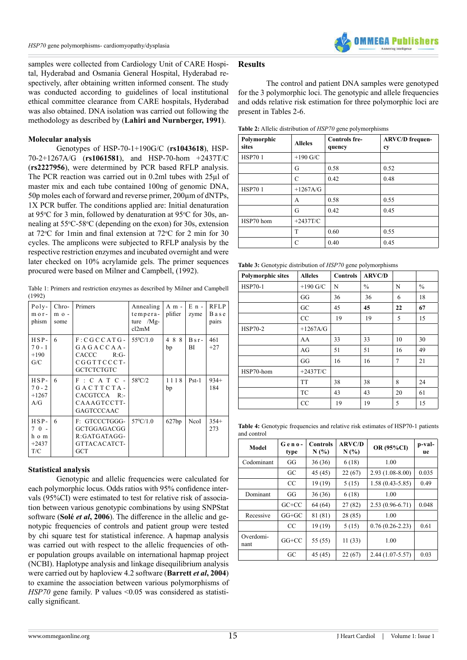

samples were collected from Cardiology Unit of CARE Hospital, Hyderabad and Osmania General Hospital, Hyderabad respectively, after obtaining written informed consent. The study was conducted according to guidelines of local institutional ethical committee clearance from CARE hospitals, Hyderabad was also obtained. DNA isolation was carried out following the methodology as described by (**Lahiri and Nurnberger, 1991**).

### **Molecular analysis**

Genotypes of HSP-70-1+190G/C (**rs1043618**), HSP-70-2+1267A/G (**rs1061581**), and HSP-70-hom +2437T/C (**rs2227956**), were determined by PCR based RFLP analysis. The PCR reaction was carried out in 0.2ml tubes with 25µl of master mix and each tube contained 100ng of genomic DNA, 50p moles each of forward and reverse primer, 200µm of dNTPs, 1X PCR buffer. The conditions applied are: Initial denaturation at 95°C for 3 min, followed by denaturation at 95°C for 30s, annealing at 55°C-58°C (depending on the exon) for 30s, extension at  $72^{\circ}$ C for 1 min and final extension at  $72^{\circ}$ C for 2 min for 30 cycles. The amplicons were subjected to RFLP analysis by the respective restriction enzymes and incubated overnight and were later checked on 10% acrylamide gels. The primer sequences procured were based on Milner and Campbell, (1992).

Table 1: Primers and restriction enzymes as described by Milner and Campbell (1992)

| $Poly-$<br>$m$ o $r$ -<br>phism             | $Chro-$<br>$m \circ -$<br>some | Primers                                                                                    | Annealing<br>tempera-<br>ture / $Mg-$<br>cl2mM | A m -<br>plifier | $E$ n -<br>zyme | <b>RFLP</b><br>Base<br>pairs |
|---------------------------------------------|--------------------------------|--------------------------------------------------------------------------------------------|------------------------------------------------|------------------|-----------------|------------------------------|
| $HSP-$<br>$70 - 1$<br>$+190$<br>G/C         | 6                              | $F: CGCCATG-$<br>$G A G A C C A A -$<br>CACCC<br>$R:G-$<br>CGGTTCCCT-<br><b>GCTCTCTGTC</b> | $55^{\circ}$ C/1.0                             | 488<br>bp        | $Bsr-$<br>BI    | 461<br>$+27$                 |
| $HSP-$<br>$70 - 2$<br>$+1267$<br>A/G        | 6                              | $F : C A T C -$<br>$G A C T T C T A -$<br>CACGTCCA R:-<br>CAAAGTCCTT-<br><b>GAGTCCCAAC</b> | $58^{\circ}$ C/2                               | 1118<br>bp       | $Pst-1$         | $934+$<br>184                |
| $HSP-$<br>$70 -$<br>h o m<br>$+2437$<br>T/C | 6                              | F: GTCCCTGGG-<br>GCTGGAGACGG<br>$R: GATGATAGG-$<br>GTTACACATCT-<br><b>GCT</b>              | $57^{\circ}$ C/1.0                             | 627bp            | NcoI            | $354+$<br>273                |

#### **Statistical analysis**

Genotypic and allelic frequencies were calculated for each polymorphic locus. Odds ratios with 95% confidence intervals (95%CI) were estimated to test for relative risk of association between various genotypic combinations by using SNPStat software (**Solé** *et al***, 2006**). The difference in the allelic and genotypic frequencies of controls and patient group were tested by chi square test for statistical inference. A hapmap analysis was carried out with respect to the allelic frequencies of other population groups available on international hapmap project (NCBI). Haplotype analysis and linkage disequilibrium analysis were carried out by haploview 4.2 software (**Barrett** *et al***, 2004**) to examine the association between various polymorphisms of *HSP70* gene family. P values <0.05 was considered as statistically significant.

#### **Results**

The control and patient DNA samples were genotyped for the 3 polymorphic loci. The genotypic and allele frequencies and odds relative risk estimation for three polymorphic loci are present in Tables 2-6.

**Table 2:** Allelic distribution of *HSP70* gene polymorphisms

| Polymorphic<br>sites | <b>Alleles</b> | <b>Controls fre-</b><br>quency | <b>ARVC/D</b> frequen-<br>cy |
|----------------------|----------------|--------------------------------|------------------------------|
| <b>HSP701</b>        | $+190$ G/C     |                                |                              |
|                      | G              | 0.58                           | 0.52                         |
|                      | C              | 0.42                           | 0.48                         |
| <b>HSP701</b>        | $+1267A/G$     |                                |                              |
|                      | A              | 0.58                           | 0.55                         |
|                      | G              | 0.42                           | 0.45                         |
| HSP70 hom            | $+2437T/C$     |                                |                              |
|                      | T              | 0.60                           | 0.55                         |
|                      | C              | 0.40                           | 0.45                         |

**Table 3:** Genotypic distribution of *HSP70* gene polymorphisms

| <b>Polymorphic sites</b> | <b>Alleles</b> | <b>Controls</b> | <b>ARVC/D</b> |    |               |
|--------------------------|----------------|-----------------|---------------|----|---------------|
| <b>HSP70-1</b>           | $+190$ G/C     | N               | $\frac{0}{0}$ | N  | $\frac{0}{0}$ |
|                          | GG             | 36              | 36            | 6  | 18            |
|                          | GC             | 45              | 45            | 22 | 67            |
|                          | CC             | 19              | 19            | 5  | 15            |
| <b>HSP70-2</b>           | $+1267A/G$     |                 |               |    |               |
|                          | AA             | 33              | 33            | 10 | 30            |
|                          | AG             | 51              | 51            | 16 | 49            |
|                          | GG             | 16              | 16            | 7  | 21            |
| HSP70-hom                | $+2437T/C$     |                 |               |    |               |
|                          | <b>TT</b>      | 38              | 38            | 8  | 24            |
|                          | TC             | 43              | 43            | 20 | 61            |
|                          | CC             | 19              | 19            | 5  | 15            |

**Table 4:** Genotypic frequencies and relative risk estimates of HSP70-1 patients and control

| Model             | Geno-<br>type | <b>Controls</b><br>N(%) | <b>ARVC/D</b><br>N(%) | OR (95%CI)          | p-val-<br><b>ue</b> |
|-------------------|---------------|-------------------------|-----------------------|---------------------|---------------------|
| Codominant        | GG            | 36(36)                  | 6(18)                 | 1.00                |                     |
|                   | GC            | 45 (45)                 | 22(67)                | $2.93(1.08-8.00)$   | 0.035               |
|                   | CC            | 19(19)                  | 5(15)                 | $1.58(0.43 - 5.85)$ | 0.49                |
| Dominant          | GG            | 36(36)                  | 6(18)                 | 1.00                |                     |
|                   | $G$ C+CC      | 64 (64)                 | 27(82)                | $2.53(0.96-6.71)$   | 0.048               |
| Recessive         | $GG+GC$       | 81 (81)                 | 28 (85)               | 1.00                |                     |
|                   | CC            | 19(19)                  | 5(15)                 | $0.76(0.26-2.23)$   | 0.61                |
| Overdomi-<br>nant | $GG+CC$       | 55 (55)                 | 11(33)                | 1.00                |                     |
|                   | $_{\rm GC}$   | 45 (45)                 | 22(67)                | $2.44(1.07-5.57)$   | 0.03                |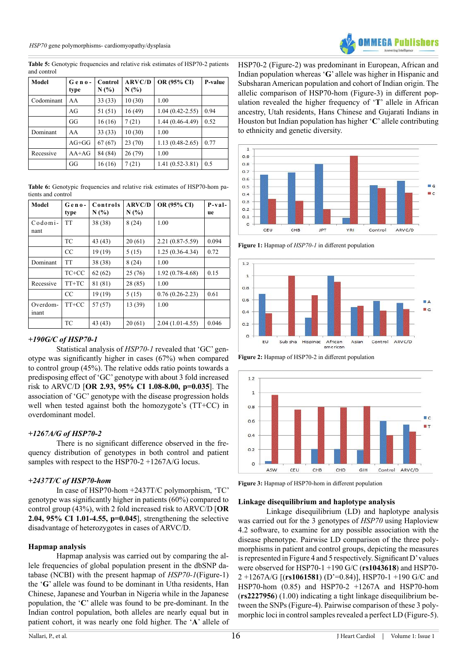*HSP70* gene polymorphisms- cardiomyopathy/dysplasia



Table 5: Genotypic frequencies and relative risk estimates of HSP70-2 patients and control

| <b>Model</b> | $Geno-$<br>type | Control<br>N(% | <b>ARVC/D</b><br>N(% | OR (95% CI)         | <b>P-value</b> |
|--------------|-----------------|----------------|----------------------|---------------------|----------------|
| Codominant   | AA              | 33(33)         | 10(30)               | 1.00                |                |
|              | AG              | 51 (51)        | 16(49)               | $1.04(0.42 - 2.55)$ | 0.94           |
|              | GG              | 16(16)         | 7(21)                | $1.44(0.46-4.49)$   | 0.52           |
| Dominant     | AA              | 33(33)         | 10(30)               | 1.00                |                |
|              | $AG+GG$         | 67(67)         | 23(70)               | $1.13(0.48-2.65)$   | 0.77           |
| Recessive    | $AA+AG$         | 84 (84)        | 26(79)               | 1.00                |                |
|              | GG              | 16(16)         | 7(21)                | $1.41(0.52 - 3.81)$ | 0.5            |

**Table 6:** Genotypic frequencies and relative risk estimates of HSP70-hom patients and control

| <b>Model</b>      | $Geno-$<br>type | Controls<br>N(%) | <b>ARVC/D</b><br>N(% | OR (95% CI)       | $P - v a$ ]-<br>ue |
|-------------------|-----------------|------------------|----------------------|-------------------|--------------------|
| Codomi-<br>nant   | <b>TT</b>       | 38 (38)          | 8(24)                | 1.00              |                    |
|                   | <b>TC</b>       | 43 (43)          | 20(61)               | $2.21(0.87-5.59)$ | 0.094              |
|                   | CC              | 19(19)           | 5(15)                | $1.25(0.36-4.34)$ | 0.72               |
| Dominant          | <b>TT</b>       | 38 (38)          | 8(24)                | 1.00              |                    |
|                   | $TC+CC$         | 62(62)           | 25(76)               | $1.92(0.78-4.68)$ | 0.15               |
| Recessive         | $TT+TC$         | 81 (81)          | 28 (85)              | 1.00              |                    |
|                   | CC              | 19(19)           | 5(15)                | $0.76(0.26-2.23)$ | 0.61               |
| Overdom-<br>inant | TT+CC           | 57 (57)          | 13 (39)              | 1.00              |                    |
|                   | <b>TC</b>       | 43 (43)          | 20(61)               | $2.04(1.01-4.55)$ | 0.046              |

# *+190G/C of HSP70-1*

Statistical analysis of *HSP70-1* revealed that 'GC' genotype was significantly higher in cases (67%) when compared to control group (45%). The relative odds ratio points towards a predisposing effect of 'GC' genotype with about 3 fold increased risk to ARVC/D [**OR 2.93, 95% CI 1.08-8.00, p=0.035**]. The association of 'GC' genotype with the disease progression holds well when tested against both the homozygote's (TT+CC) in overdominant model.

# *+1267A/G of HSP70-2*

There is no significant difference observed in the frequency distribution of genotypes in both control and patient samples with respect to the HSP70-2 +1267A/G locus.

# *+2437T/C of HSP70-hom*

In case of HSP70-hom +2437T/C polymorphism, 'TC' genotype was significantly higher in patients (60%) compared to control group (43%), with 2 fold increased risk to ARVC/D [**OR 2.04, 95% CI 1.01-4.55, p=0.045**], strengthening the selective disadvantage of heterozygotes in cases of ARVC/D.

# **Hapmap analysis**

Hapmap analysis was carried out by comparing the allele frequencies of global population present in the dbSNP database (NCBI) with the present hapmap of *HSP70-1*(Figure-1) the '**G**' allele was found to be dominant in Utha residents, Han Chinese, Japanese and Yourban in Nigeria while in the Japanese population, the '**C**' allele was found to be pre-dominant. In the Indian control population, both alleles are nearly equal but in patient cohort, it was nearly one fold higher. The '**A**' allele of HSP70-2 (Figure-2) was predominant in European, African and Indian population whereas '**G**' allele was higher in Hispanic and Subsharan American population and cohort of Indian origin. The allelic comparison of HSP70-hom (Figure-3) in different population revealed the higher frequency of '**T**' allele in African ancestry, Utah residents, Hans Chinese and Gujarati Indians in Houston but Indian population has higher '**C**' allele contributing to ethnicity and genetic diversity.



**Figure 1:** Hapmap of *HSP70-1* in different population



**Figure 2:** Hapmap of HSP70-2 in different population



**Figure 3:** Hapmap of HSP70-hom in different population

# **Linkage disequilibrium and haplotype analysis**

Linkage disequilibrium (LD) and haplotype analysis was carried out for the 3 genotypes of *HSP70* using Haploview 4.2 software, to examine for any possible association with the disease phenotype. Pairwise LD comparison of the three polymorphisms in patient and control groups, depicting the measures is represented in Figure 4 and 5 respectively. Significant D' values were observed for HSP70-1 +190 G/C (**rs1043618**) and HSP70- 2 +1267A/G [(**rs1061581**) (D'=0.84)], HSP70-1 +190 G/C and HSP70-hom (0.85) and HSP70-2 +1267A and HSP70-hom (**rs2227956**) (1.00) indicating a tight linkage disequilibrium between the SNPs (Figure-4). Pairwise comparison of these 3 polymorphic loci in control samples revealed a perfect LD (Figure-5).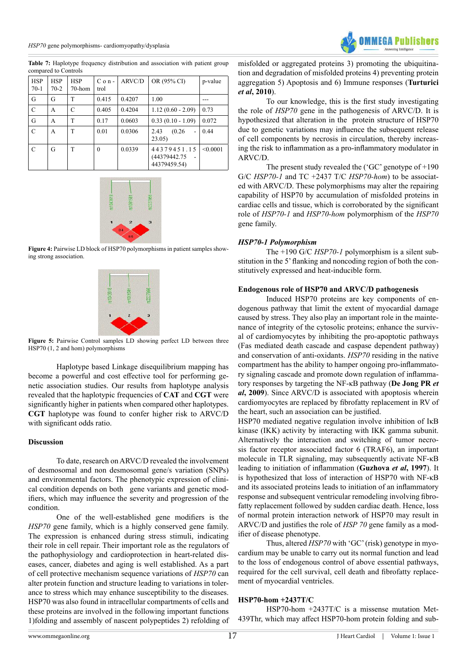compared to Controls **HSP** 70-1 HSP 70-2 **HSP** 70-hom  $C$  o n trol  $ARVCD$  OR (95% CI) p-value G | G | T |  $0.415$  |  $0.4207$  |  $1.00$  | ---C A C 0.405 0.4204 1.12 (0.60 - 2.09) 0.73 G | A | T | 0.17 | 0.0603 | 0.33 (0.10 - 1.09) | 0.072 C | A | T |  $0.01$  |  $0.0306$  |  $2.43$  (0.26 -23.05) 0.44 C G T 0 0.0339 44379451.15 (44379442.75) 44379459.54)  $< 0.0001$ 

**Table 7:** Haplotype frequency distribution and association with patient group



**Figure 4:** Pairwise LD block of HSP70 polymorphisms in patient samples showing strong association.



**Figure 5:** Pairwise Control samples LD showing perfect LD between three HSP70 (1, 2 and hom) polymorphisms

Haplotype based Linkage disequilibrium mapping has become a powerful and cost effective tool for performing genetic association studies. Our results from haplotype analysis revealed that the haplotypic frequencies of **CAT** and **CGT** were significantly higher in patients when compared other haplotypes. **CGT** haplotype was found to confer higher risk to ARVC/D with significant odds ratio.

#### **Discussion**

To date, research on ARVC/D revealed the involvement of desmosomal and non desmosomal gene/s variation (SNPs) and environmental factors. The phenotypic expression of clinical condition depends on both gene variants and genetic modifiers, which may influence the severity and progression of the condition.

One of the well-established gene modifiers is the *HSP70* gene family, which is a highly conserved gene family. The expression is enhanced during stress stimuli, indicating their role in cell repair. Their important role as the regulators of the pathophysiology and cardioprotection in heart-related diseases, cancer, diabetes and aging is well established. As a part of cell protective mechanism sequence variations of *HSP70* can alter protein function and structure leading to variations in tolerance to stress which may enhance susceptibility to the diseases. HSP70 was also found in intracellular compartments of cells and these proteins are involved in the following important functions 1)folding and assembly of nascent polypeptides 2) refolding of misfolded or aggregated proteins 3) promoting the ubiquitination and degradation of misfolded proteins 4) preventing protein aggregation 5) Apoptosis and 6) Immune responses (**Turturici**  *et al***, 2010**).

To our knowledge, this is the first study investigating the role of *HSP70* gene in the pathogenesis of ARVC/D. It is hypothesized that alteration in the protein structure of HSP70 due to genetic variations may influence the subsequent release of cell components by necrosis in circulation, thereby increasing the risk to inflammation as a pro-inflammatory modulator in ARVC/D.

The present study revealed the ('GC' genotype of +190 G/C *HSP70-1* and TC +2437 T/C *HSP70-hom*) to be associated with ARVC/D. These polymorphisms may alter the repairing capability of HSP70 by accumulation of misfolded proteins in cardiac cells and tissue, which is corroborated by the significant role of *HSP70-1* and *HSP70-hom* polymorphism of the *HSP70* gene family.

#### *HSP70-1 Polymorphism*

The +190 G/C *HSP70-1* polymorphism is a silent substitution in the 5' flanking and noncoding region of both the constitutively expressed and heat-inducible form.

#### **Endogenous role of HSP70 and ARVC/D pathogenesis**

Induced HSP70 proteins are key components of endogenous pathway that limit the extent of myocardial damage caused by stress. They also play an important role in the maintenance of integrity of the cytosolic proteins; enhance the survival of cardiomyocytes by inhibiting the pro-apoptotic pathways (Fas mediated death cascade and caspase dependent pathway) and conservation of anti-oxidants. *HSP70* residing in the native compartment has the ability to hamper ongoing pro-inflammatory signaling cascade and promote down regulation of inflammatory responses by targeting the NF-κB pathway (**De Jong PR** *et al***, 2009**). Since ARVC/D is associated with apoptosis wherein cardiomyocytes are replaced by fibrofatty replacement in RV of the heart, such an association can be justified.

HSP70 mediated negative regulation involve inhibition of IκB kinase (IKK) activity by interacting with IKK gamma subunit. Alternatively the interaction and switching of tumor necrosis factor receptor associated factor 6 (TRAF6), an important molecule in TLR signaling, may subsequently activate NF-κB leading to initiation of inflammation (**Guzhova** *et al***, 1997**). It is hypothesized that loss of interaction of HSP70 with NF-κB and its associated proteins leads to initiation of an inflammatory response and subsequent ventricular remodeling involving fibrofatty replacement followed by sudden cardiac death. Hence, loss of normal protein interaction network of HSP70 may result in ARVC/D and justifies the role of *HSP 70* gene family as a modifier of disease phenotype.

Thus, altered *HSP70* with 'GC' (risk) genotype in myocardium may be unable to carry out its normal function and lead to the loss of endogenous control of above essential pathways, required for the cell survival, cell death and fibrofatty replacement of myocardial ventricles.

#### **HSP70-hom +2437T/C**

HSP70-hom +2437T/C is a missense mutation Met-439Thr, which may affect HSP70-hom protein folding and sub-